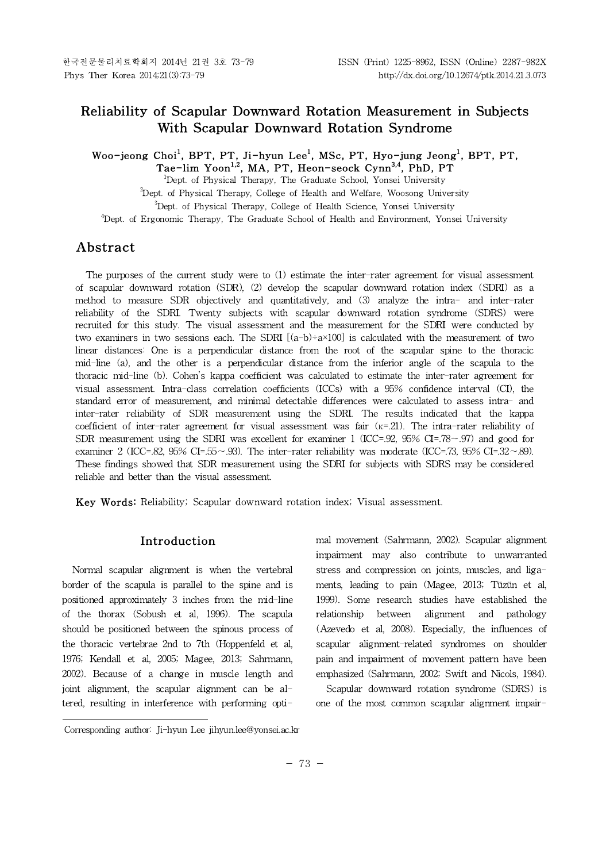# **Reliability of Scapular Downward Rotation Measurement in Subjects With Scapular Downward Rotation Syndrome**

**Woo-jeong Choi<sup>1</sup> , BPT, PT, Ji-hyun Lee<sup>1</sup> , MSc, PT, Hyo-jung Jeong<sup>1</sup> , BPT, PT, Tae-lim Yoon1,2 , MA, PT, Heon-seock Cynn3,4 , PhD, PT**

<sup>1</sup>Dept. of Physical Therapy, The Graduate School, Yonsei University <sup>2</sup>Dept. of Physical Therapy, College of Health and Welfare, Woosong University <sup>3</sup>Dept. of Physical Therapy, College of Health Science, Yonsei University <sup>4</sup>Dept. of Ergonomic Therapy, The Graduate School of Health and Environment, Yonsei University

# **Abstract1)**

The purposes of the current study were to (1) estimate the inter-rater agreement for visual assessment of scapular downward rotation (SDR), (2) develop the scapular downward rotation index (SDRI) as a method to measure SDR objectively and quantitatively, and (3) analyze the intra- and inter-rater reliability of the SDRI. Twenty subjects with scapular downward rotation syndrome (SDRS) were recruited for this study. The visual assessment and the measurement for the SDRI were conducted by two examiners in two sessions each. The SDRI  $[(a-b)+a\times100]$  is calculated with the measurement of two linear distances: One is a perpendicular distance from the root of the scapular spine to the thoracic mid-line (a), and the other is a perpendicular distance from the inferior angle of the scapula to the thoracic mid-line (b). Cohen's kappa coefficient was calculated to estimate the inter-rater agreement for visual assessment. Intra-class correlation coefficients (ICCs) with a 95% confidence interval (CI), the standard error of measurement, and minimal detectable differences were calculated to assess intra- and inter-rater reliability of SDR measurement using the SDRI. The results indicated that the kappa coefficient of inter-rater agreement for visual assessment was fair (κ=.21). The intra-rater reliability of SDR measurement using the SDRI was excellent for examiner 1 (ICC=.92, 95% CI=.78∼.97) and good for examiner 2 (ICC=.82, 95% CI=.55∼.93). The inter-rater reliability was moderate (ICC=.73, 95% CI=.32∼.89). These findings showed that SDR measurement using the SDRI for subjects with SDRS may be considered reliable and better than the visual assessment.

**Key Words:** Reliability; Scapular downward rotation index; Visual assessment.

# **Introduction**

Normal scapular alignment is when the vertebral border of the scapula is parallel to the spine and is positioned approximately 3 inches from the mid-line of the thorax (Sobush et al, 1996). The scapula should be positioned between the spinous process of the thoracic vertebrae 2nd to 7th (Hoppenfeld et al, 1976; Kendall et al, 2005; Magee, 2013; Sahrmann, 2002). Because of a change in muscle length and joint alignment, the scapular alignment can be altered, resulting in interference with performing optimal movement (Sahrmann, 2002). Scapular alignment impairment may also contribute to unwarranted stress and compression on joints, muscles, and ligaments, leading to pain (Magee, 2013; Tüzün et al, 1999). Some research studies have established the relationship between alignment and pathology (Azevedo et al, 2008). Especially, the influences of scapular alignment-related syndromes on shoulder pain and impairment of movement pattern have been emphasized (Sahrmann, 2002; Swift and Nicols, 1984).

Scapular downward rotation syndrome (SDRS) is one of the most common scapular alignment impair-

Corresponding author: Ji-hyun Lee jihyun.lee@yonsei.ac.kr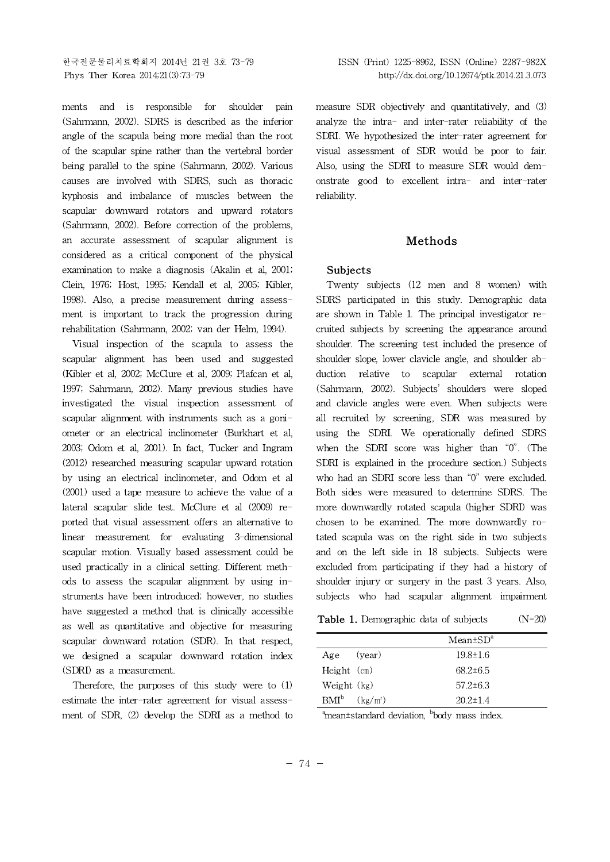ments and is responsible for shoulder pain (Sahrmann, 2002). SDRS is described as the inferior angle of the scapula being more medial than the root of the scapular spine rather than the vertebral border being parallel to the spine (Sahrmann, 2002). Various causes are involved with SDRS, such as thoracic kyphosis and imbalance of muscles between the scapular downward rotators and upward rotators (Sahrmann, 2002). Before correction of the problems, an accurate assessment of scapular alignment is considered as a critical component of the physical examination to make a diagnosis (Akalin et al, 2001; Clein, 1976; Host, 1995; Kendall et al, 2005; Kibler, 1998). Also, a precise measurement during assessment is important to track the progression during rehabilitation (Sahrmann, 2002; van der Helm, 1994).

Visual inspection of the scapula to assess the scapular alignment has been used and suggested (Kibler et al, 2002; McClure et al, 2009; Plafcan et al, 1997; Sahrmann, 2002). Many previous studies have investigated the visual inspection assessment of scapular alignment with instruments such as a goniometer or an electrical inclinometer (Burkhart et al, 2003; Odom et al, 2001). In fact, Tucker and Ingram (2012) researched measuring scapular upward rotation by using an electrical inclinometer, and Odom et al (2001) used a tape measure to achieve the value of a lateral scapular slide test. McClure et al (2009) reported that visual assessment offers an alternative to linear measurement for evaluating 3-dimensional scapular motion. Visually based assessment could be used practically in a clinical setting. Different methods to assess the scapular alignment by using instruments have been introduced; however, no studies have suggested a method that is clinically accessible as well as quantitative and objective for measuring scapular downward rotation (SDR). In that respect, we designed a scapular downward rotation index (SDRI) as a measurement.

Therefore, the purposes of this study were to (1) estimate the inter-rater agreement for visual assessment of SDR, (2) develop the SDRI as a method to measure SDR objectively and quantitatively, and (3) analyze the intra- and inter-rater reliability of the SDRI. We hypothesized the inter-rater agreement for visual assessment of SDR would be poor to fair. Also, using the SDRI to measure SDR would demonstrate good to excellent intra- and inter-rater reliability.

# **Methods**

## **Subjects**

Twenty subjects (12 men and 8 women) with SDRS participated in this study. Demographic data are shown in Table 1. The principal investigator recruited subjects by screening the appearance around shoulder. The screening test included the presence of shoulder slope, lower clavicle angle, and shoulder abduction relative to scapular external rotation (Sahrmann, 2002). Subjects' shoulders were sloped and clavicle angles were even. When subjects were all recruited by screening, SDR was measured by using the SDRI. We operationally defined SDRS when the SDRI score was higher than "0". (The SDRI is explained in the procedure section.) Subjects who had an SDRI score less than "0" were excluded. Both sides were measured to determine SDRS. The more downwardly rotated scapula (higher SDRI) was chosen to be examined. The more downwardly rotated scapula was on the right side in two subjects and on the left side in 18 subjects. Subjects were excluded from participating if they had a history of shoulder injury or surgery in the past 3 years. Also, subjects who had scapular alignment impairment

**Table 1.** Demographic data of subjects (N=20)

|                    | $Mean \pm SD^a$ |  |  |
|--------------------|-----------------|--|--|
| Age (year)         | $19.8 \pm 1.6$  |  |  |
| Height (cm)        | $68.2 \pm 6.5$  |  |  |
| Weight (kg)        | $57.2 \pm 6.3$  |  |  |
| $BMI^b$ $(kg/m^2)$ | $20.2 \pm 1.4$  |  |  |
| $\sim$             | h.              |  |  |

 $\alpha$ <sup>a</sup>mean±standard deviation, <sup>b</sup>body mass index.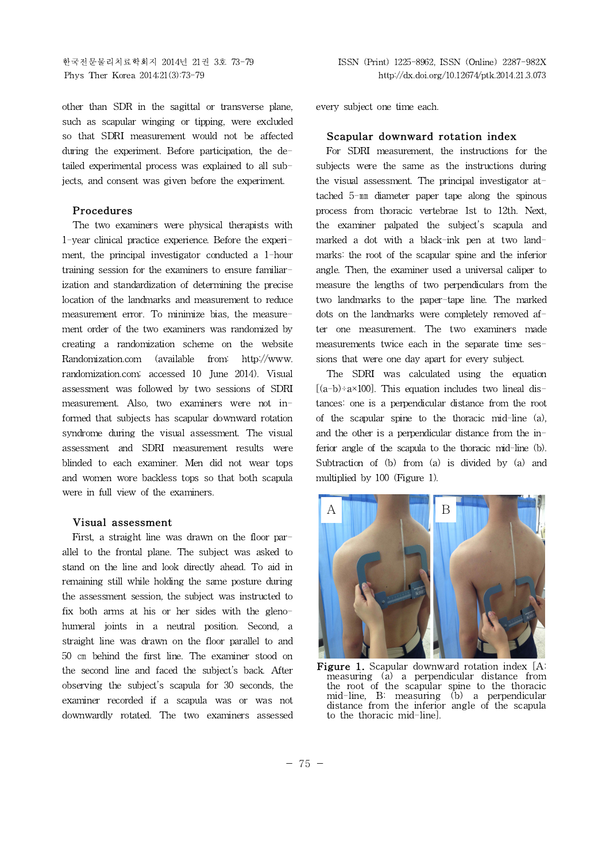other than SDR in the sagittal or transverse plane, such as scapular winging or tipping, were excluded so that SDRI measurement would not be affected during the experiment. Before participation, the detailed experimental process was explained to all subjects, and consent was given before the experiment.

### **Procedures**

The two examiners were physical therapists with 1-year clinical practice experience. Before the experiment, the principal investigator conducted a 1-hour training session for the examiners to ensure familiarization and standardization of determining the precise location of the landmarks and measurement to reduce measurement error. To minimize bias, the measurement order of the two examiners was randomized by creating a randomization scheme on the website Randomization.com (available from: http://www. randomization.com; accessed 10 June 2014). Visual assessment was followed by two sessions of SDRI measurement. Also, two examiners were not informed that subjects has scapular downward rotation syndrome during the visual assessment. The visual assessment and SDRI measurement results were blinded to each examiner. Men did not wear tops and women wore backless tops so that both scapula were in full view of the examiners.

#### **Visual assessment**

First, a straight line was drawn on the floor parallel to the frontal plane. The subject was asked to stand on the line and look directly ahead. To aid in remaining still while holding the same posture during the assessment session, the subject was instructed to fix both arms at his or her sides with the glenohumeral joints in a neutral position. Second, a straight line was drawn on the floor parallel to and 50 cm behind the first line. The examiner stood on the second line and faced the subject's back. After observing the subject's scapula for 30 seconds, the examiner recorded if a scapula was or was not downwardly rotated. The two examiners assessed every subject one time each.

#### **Scapular downward rotation index**

For SDRI measurement, the instructions for the subjects were the same as the instructions during the visual assessment. The principal investigator attached 5-㎜ diameter paper tape along the spinous process from thoracic vertebrae 1st to 12th. Next, the examiner palpated the subject's scapula and marked a dot with a black-ink pen at two landmarks: the root of the scapular spine and the inferior angle. Then, the examiner used a universal caliper to measure the lengths of two perpendiculars from the two landmarks to the paper-tape line. The marked dots on the landmarks were completely removed after one measurement. The two examiners made measurements twice each in the separate time sessions that were one day apart for every subject.

The SDRI was calculated using the equation  $[(a-b)-a\times100]$ . This equation includes two lineal distances: one is a perpendicular distance from the root of the scapular spine to the thoracic mid-line (a), and the other is a perpendicular distance from the inferior angle of the scapula to the thoracic mid-line (b). Subtraction of  $(b)$  from  $(a)$  is divided by  $(a)$  and multiplied by 100 (Figure 1).



**Figure 1.** Scapular downward rotation index [A: measuring (a) a perpendicular distance from the root of the scapular spine to the thoracic mid-line, B: measuring (b) a perpendicular distance from the inferior angle of the scapula to the thoracic mid-line].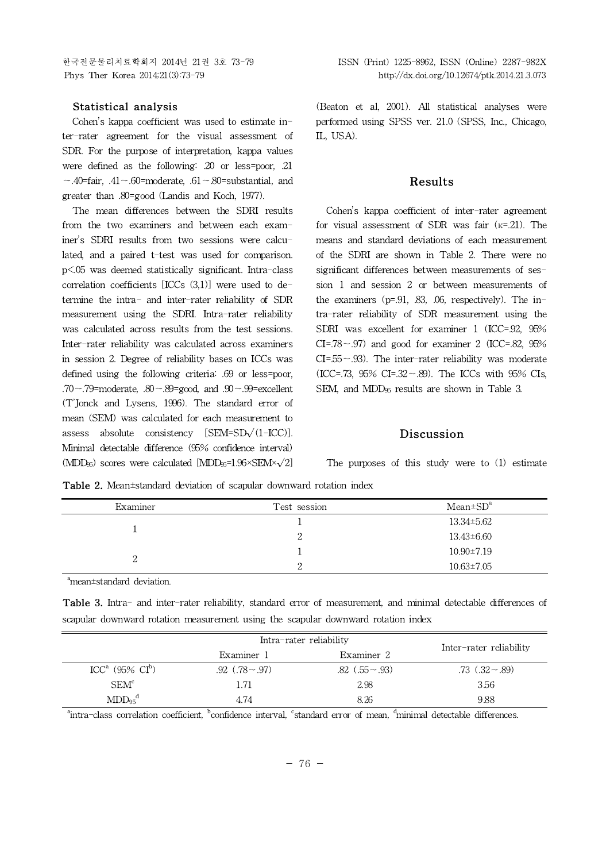## **Statistical analysis**

Cohen's kappa coefficient was used to estimate inter-rater agreement for the visual assessment of SDR. For the purpose of interpretation, kappa values were defined as the following: .20 or less=poor, .21  $~\sim$ .40=fair, .41∼.60=moderate, .61∼.80=substantial, and greater than .80=good (Landis and Koch, 1977).

The mean differences between the SDRI results from the two examiners and between each examiner's SDRI results from two sessions were calculated, and a paired t-test was used for comparison. p<.05 was deemed statistically significant. Intra-class correlation coefficients [ICCs (3,1)] were used to determine the intra- and inter-rater reliability of SDR measurement using the SDRI. Intra-rater reliability was calculated across results from the test sessions. Inter-rater reliability was calculated across examiners in session 2. Degree of reliability bases on ICCs was defined using the following criteria: .69 or less=poor, .70∼.79=moderate, .80∼.89=good, and .90∼.99=excellent (T'Jonck and Lysens, 1996). The standard error of mean (SEM) was calculated for each measurement to assess absolute consistency  $[SEM=SD\sqrt{(1-ICC)}]$ . Minimal detectable difference (95% confidence interval)  $(MDD_{95})$  scores were calculated  $[MDD_{95}=1.96\times SEM\times\sqrt{2}]$ 

(Beaton et al. 2001). All statistical analyses were performed using SPSS ver. 21.0 (SPSS, Inc., Chicago, IL, USA).

### **Results**

Cohen's kappa coefficient of inter-rater agreement for visual assessment of SDR was fair  $(k=21)$ . The means and standard deviations of each measurement of the SDRI are shown in Table 2. There were no significant differences between measurements of session 1 and session 2 or between measurements of the examiners  $(p=0.91, 0.83, 0.06,$  respectively). The intra-rater reliability of SDR measurement using the SDRI was excellent for examiner 1 (ICC=.92, 95% CI=.78∼.97) and good for examiner 2 (ICC=.82, 95% CI=.55∼.93). The inter-rater reliability was moderate (ICC=.73, 95% CI=.32∼.89). The ICCs with 95% CIs, SEM, and MDD<sub>95</sub> results are shown in Table 3.

#### **Discussion**

The purposes of this study were to (1) estimate

**Table 2.** Mean±standard deviation of scapular downward rotation index

| Examiner | Test session | $Mean \pm SD^a$  |
|----------|--------------|------------------|
|          |              | 13.34±5.62       |
|          | ↵            | 13.43±6.60       |
|          |              | $10.90 \pm 7.19$ |
| ∸        |              | $10.63 \pm 7.05$ |

<sup>a</sup>mean±standard deviation.

**Table 3.** Intra- and inter-rater reliability, standard error of measurement, and minimal detectable differences of scapular downward rotation measurement using the scapular downward rotation index

|                                         | Intra-rater reliability |                   |                         |
|-----------------------------------------|-------------------------|-------------------|-------------------------|
|                                         | Examiner 1              | Examiner 2        | Inter-rater reliability |
| ICC <sup>a</sup> (95% CI <sup>b</sup> ) | .92 $(.78 \sim .97)$    | .82 $(.55 - .93)$ | $.73(.32 \sim .89)$     |
| SEM <sup>c</sup>                        | l.71                    | 2.98              | 3.56                    |
| $MDD_{95}^{\dagger}$                    | 4.74                    | 8.26              | 9.88                    |

<sup>a</sup>intra-class correlation coefficient, <sup>b</sup>confidence interval, <sup>c</sup>standard error of mean, <sup>d</sup>minimal detectable differences.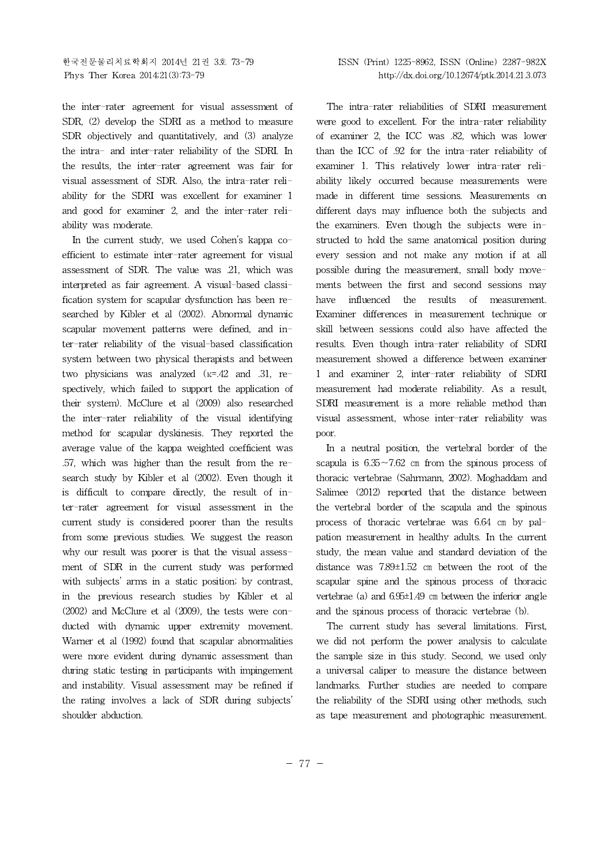the inter-rater agreement for visual assessment of SDR, (2) develop the SDRI as a method to measure SDR objectively and quantitatively, and (3) analyze the intra- and inter-rater reliability of the SDRI. In the results, the inter-rater agreement was fair for visual assessment of SDR. Also, the intra-rater reliability for the SDRI was excellent for examiner 1 and good for examiner 2, and the inter-rater reliability was moderate.

In the current study, we used Cohen's kappa coefficient to estimate inter-rater agreement for visual assessment of SDR. The value was .21, which was interpreted as fair agreement. A visual-based classification system for scapular dysfunction has been re-<br>have searched by Kibler et al (2002). Abnormal dynamic scapular movement patterns were defined, and inter-rater reliability of the visual-based classification system between two physical therapists and between two physicians was analyzed (κ=.42 and .31, respectively, which failed to support the application of their system). McClure et al (2009) also researched the inter-rater reliability of the visual identifying method for scapular dyskinesis. They reported the average value of the kappa weighted coefficient was .57, which was higher than the result from the research study by Kibler et al (2002). Even though it is difficult to compare directly, the result of inter-rater agreement for visual assessment in the current study is considered poorer than the results from some previous studies. We suggest the reason why our result was poorer is that the visual assessment of SDR in the current study was performed with subjects' arms in a static position; by contrast, in the previous research studies by Kibler et al (2002) and McClure et al (2009), the tests were conducted with dynamic upper extremity movement. Warner et al (1992) found that scapular abnormalities were more evident during dynamic assessment than during static testing in participants with impingement and instability. Visual assessment may be refined if the rating involves a lack of SDR during subjects' shoulder abduction.

### 한국전문물리치료학회지 2014년 21권 3호 73-79 ISSN (Print) 1225-8962, ISSN (Online) 2287-982X Phys Ther Korea 2014;21(3):73-79 http://dx.doi.org/10.12674/ptk.2014.21.3.073

The intra-rater reliabilities of SDRI measurement were good to excellent. For the intra-rater reliability of examiner 2, the ICC was .82, which was lower than the ICC of .92 for the intra-rater reliability of examiner 1. This relatively lower intra-rater reliability likely occurred because measurements were made in different time sessions. Measurements on different days may influence both the subjects and the examiners. Even though the subjects were instructed to hold the same anatomical position during every session and not make any motion if at all possible during the measurement, small body movements between the first and second sessions may influenced the results of measurement. Examiner differences in measurement technique or skill between sessions could also have affected the results. Even though intra-rater reliability of SDRI measurement showed a difference between examiner 1 and examiner 2, inter-rater reliability of SDRI measurement had moderate reliability. As a result, SDRI measurement is a more reliable method than visual assessment, whose inter-rater reliability was poor.

In a neutral position, the vertebral border of the scapula is 6.35∼7.62 ㎝ from the spinous process of thoracic vertebrae (Sahrmann, 2002). Moghaddam and Salimee (2012) reported that the distance between the vertebral border of the scapula and the spinous process of thoracic vertebrae was 6.64 ㎝ by palpation measurement in healthy adults. In the current study, the mean value and standard deviation of the distance was 7.89±1.52 ㎝ between the root of the scapular spine and the spinous process of thoracic vertebrae (a) and  $6.95\pm1.49$  cm between the inferior angle and the spinous process of thoracic vertebrae (b).

The current study has several limitations. First, we did not perform the power analysis to calculate the sample size in this study. Second, we used only a universal caliper to measure the distance between landmarks. Further studies are needed to compare the reliability of the SDRI using other methods, such as tape measurement and photographic measurement.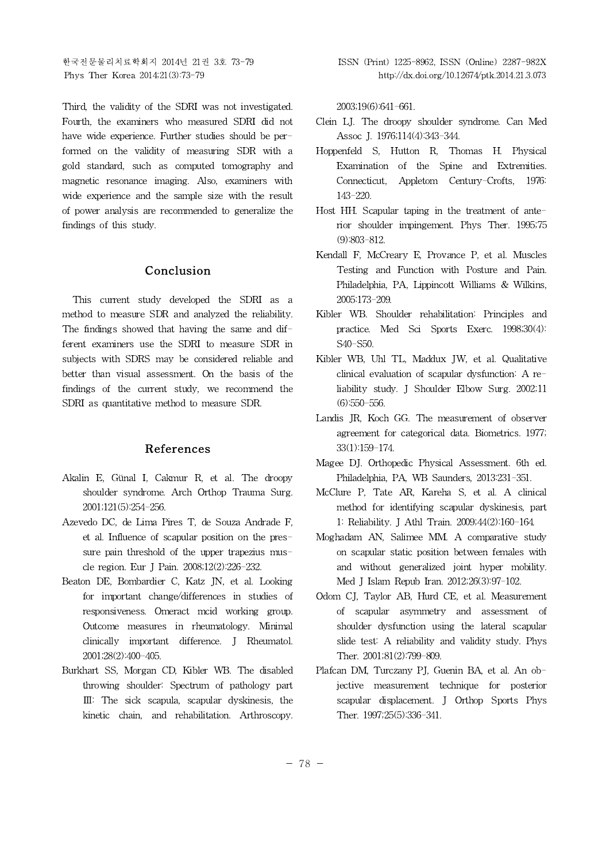Third, the validity of the SDRI was not investigated. Fourth, the examiners who measured SDRI did not have wide experience. Further studies should be performed on the validity of measuring SDR with a gold standard, such as computed tomography and magnetic resonance imaging. Also, examiners with wide experience and the sample size with the result of power analysis are recommended to generalize the findings of this study.

# **Conclusion**

This current study developed the SDRI as a method to measure SDR and analyzed the reliability. The findings showed that having the same and different examiners use the SDRI to measure SDR in subjects with SDRS may be considered reliable and better than visual assessment. On the basis of the findings of the current study, we recommend the SDRI as quantitative method to measure SDR.

# **References**

- Akalin E, Günal I, Cakmur R, et al. The droopy shoulder syndrome. Arch Orthop Trauma Surg. 2001;121(5):254-256.
- Azevedo DC, de Lima Pires T, de Souza Andrade F, et al. Influence of scapular position on the pressure pain threshold of the upper trapezius muscle region. Eur J Pain. 2008;12(2):226-232.
- Beaton DE, Bombardier C, Katz JN, et al. Looking for important change/differences in studies of responsiveness. Omeract mcid working group. Outcome measures in rheumatology. Minimal clinically important difference. J Rheumatol. 2001;28(2):400-405.
- Burkhart SS, Morgan CD, Kibler WB. The disabled throwing shoulder: Spectrum of pathology part Ⅲ: The sick scapula, scapular dyskinesis, the kinetic chain, and rehabilitation. Arthroscopy.

2003;19(6):641-661.

- Clein LJ. The droopy shoulder syndrome. Can Med Assoc J. 1976;114(4):343-344.
- Hoppenfeld S, Hutton R, Thomas H. Physical Examination of the Spine and Extremities. Connecticut, Appletom Century-Crofts, 1976: 143-220.
- Host HH. Scapular taping in the treatment of anterior shoulder impingement. Phys Ther. 1995;75 (9):803-812.
- Kendall F, McCreary E, Provance P, et al. Muscles Testing and Function with Posture and Pain. Philadelphia, PA, Lippincott Williams & Wilkins, 2005:173-209.
- Kibler WB. Shoulder rehabilitation: Principles and practice. Med Sci Sports Exerc. 1998;30(4): S40-S50.
- Kibler WB, Uhl TL, Maddux JW, et al. Qualitative clinical evaluation of scapular dysfunction: A reliability study. J Shoulder Elbow Surg. 2002;11 (6):550-556.
- Landis JR, Koch GG. The measurement of observer agreement for categorical data. Biometrics. 1977; 33(1):159-174.
- Magee DJ. Orthopedic Physical Assessment. 6th ed. Philadelphia, PA, WB Saunders, 2013:231-351.
- McClure P, Tate AR, Kareha S, et al. A clinical method for identifying scapular dyskinesis, part 1: Reliability. J Athl Train. 2009;44(2):160-164.
- Moghadam AN, Salimee MM. A comparative study on scapular static position between females with and without generalized joint hyper mobility. Med J Islam Repub Iran. 2012;26(3):97-102.
- Odom CJ, Taylor AB, Hurd CE, et al. Measurement of scapular asymmetry and assessment of shoulder dysfunction using the lateral scapular slide test: A reliability and validity study. Phys Ther. 2001;81(2):799-809.
- Plafcan DM, Turczany PJ, Guenin BA, et al. An objective measurement technique for posterior scapular displacement. J Orthop Sports Phys Ther. 1997;25(5):336-341.